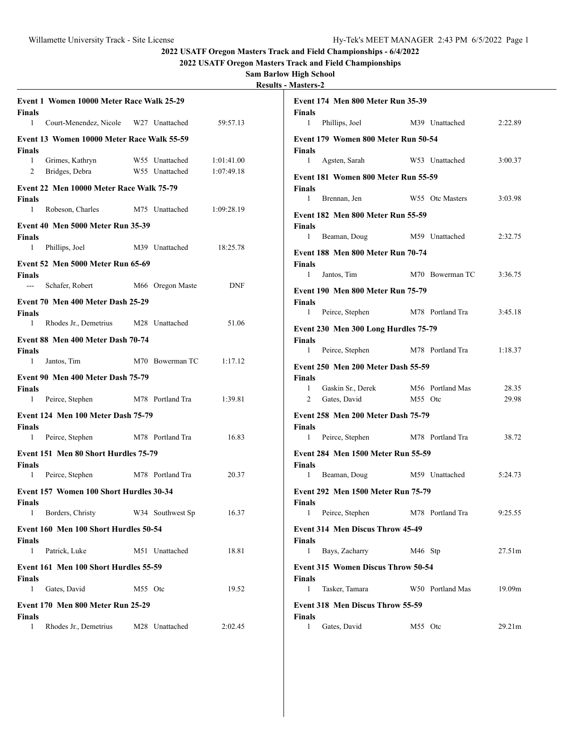**2022 USATF Oregon Masters Track and Field Championships - 6/4/2022**

**2022 USATF Oregon Masters Track and Field Championships**

**Sam Barlow High School Results - Masters-2**

| Event 1 Women 10000 Meter Race Walk 25-29<br><b>Finals</b>       |                                          | <b>Event 174 Men 800 Meter Run 35-39</b><br><b>Finals</b>                                               |  |
|------------------------------------------------------------------|------------------------------------------|---------------------------------------------------------------------------------------------------------|--|
| $\mathbf{1}$<br>Court-Menendez, Nicole W27 Unattached            | 59:57.13                                 | Phillips, Joel<br>M39 Unattached<br>2:22.89<br>$\mathbf{1}$                                             |  |
| Event 13 Women 10000 Meter Race Walk 55-59<br><b>Finals</b>      |                                          | Event 179 Women 800 Meter Run 50-54<br><b>Finals</b>                                                    |  |
| $\mathbf{1}$<br>Grimes, Kathryn<br>W55 Unattached                | 1:01:41.00                               | 1 Agsten, Sarah<br>3:00.37<br>W53 Unattached                                                            |  |
| Bridges, Debra<br>2<br>W55 Unattached                            | 1:07:49.18                               | Event 181 Women 800 Meter Run 55-59                                                                     |  |
| Event 22 Men 10000 Meter Race Walk 75-79                         |                                          | <b>Finals</b><br>W55 Otc Masters                                                                        |  |
| <b>Finals</b><br>$\mathbf{1}$<br>Robeson, Charles M75 Unattached | 1:09:28.19                               | 3:03.98<br>Brennan, Jen<br>$\mathbf{1}$                                                                 |  |
| <b>Event 40 Men 5000 Meter Run 35-39</b>                         |                                          | <b>Event 182 Men 800 Meter Run 55-59</b><br><b>Finals</b>                                               |  |
| <b>Finals</b>                                                    |                                          | Beaman, Doug<br>M59 Unattached<br>2:32.75<br>$\mathbf{1}$                                               |  |
| Phillips, Joel<br>$\mathbf{1}$<br>M39 Unattached                 | 18:25.78                                 | <b>Event 188 Men 800 Meter Run 70-74</b>                                                                |  |
| <b>Event 52 Men 5000 Meter Run 65-69</b>                         |                                          | <b>Finals</b>                                                                                           |  |
| <b>Finals</b>                                                    | <b>DNF</b>                               | 1<br>Jantos, Tim<br>3:36.75<br>M70 Bowerman TC                                                          |  |
| Schafer, Robert M66 Oregon Maste<br>$\sim$ $\sim$                | <b>Event 190 Men 800 Meter Run 75-79</b> |                                                                                                         |  |
| Event 70 Men 400 Meter Dash 25-29<br><b>Finals</b>               |                                          | <b>Finals</b><br>3:45.18<br>1<br>Peirce, Stephen M78 Portland Tra                                       |  |
| $\mathbf{1}$<br>Rhodes Jr., Demetrius M28 Unattached             | 51.06                                    |                                                                                                         |  |
| Event 88 Men 400 Meter Dash 70-74                                |                                          | Event 230 Men 300 Long Hurdles 75-79<br><b>Finals</b>                                                   |  |
| <b>Finals</b>                                                    |                                          | 1:18.37<br>Peirce, Stephen<br>M78 Portland Tra<br>$\mathbf{1}$                                          |  |
| $\mathbf{1}$<br>Jantos, Tim<br>M70 Bowerman TC                   | 1:17.12                                  | <b>Event 250 Men 200 Meter Dash 55-59</b>                                                               |  |
| Event 90 Men 400 Meter Dash 75-79                                |                                          | <b>Finals</b>                                                                                           |  |
| <b>Finals</b><br>1 Peirce, Stephen<br>M78 Portland Tra           | 1:39.81                                  | Gaskin Sr., Derek<br>28.35<br>$\mathbf{1}$<br>M56 Portland Mas<br>Gates, David<br>29.98<br>M55 Otc<br>2 |  |
|                                                                  |                                          |                                                                                                         |  |
| Event 124 Men 100 Meter Dash 75-79<br><b>Finals</b>              |                                          | <b>Event 258 Men 200 Meter Dash 75-79</b><br><b>Finals</b>                                              |  |
| Peirce, Stephen<br>M78 Portland Tra<br>$\mathbf{1}$              | 16.83                                    | 38.72<br>Peirce, Stephen<br>M78 Portland Tra<br>$\mathbf{1}$                                            |  |
| Event 151 Men 80 Short Hurdles 75-79<br><b>Finals</b>            |                                          | Event 284 Men 1500 Meter Run 55-59<br><b>Finals</b>                                                     |  |
| Peirce, Stephen<br>M78 Portland Tra<br>$\mathbf{1}$              | 20.37                                    | Beaman, Doug<br>M59 Unattached<br>5:24.73<br>$\mathbf{1}$                                               |  |
| Event 157 Women 100 Short Hurdles 30-34<br><b>Finals</b>         |                                          | Event 292 Men 1500 Meter Run 75-79<br><b>Finals</b>                                                     |  |
| Borders, Christy<br>W34 Southwest Sp<br>$\mathbf{1}$             | 16.37                                    | 9:25.55<br>1 Peirce, Stephen<br>M78 Portland Tra                                                        |  |
| Event 160 Men 100 Short Hurdles 50-54<br><b>Finals</b>           |                                          | Event 314 Men Discus Throw 45-49<br><b>Finals</b>                                                       |  |
| $\mathbf{1}$<br>Patrick, Luke<br>M51 Unattached                  | 18.81                                    | Bays, Zacharry<br>M46 Stp<br>1<br>27.51m                                                                |  |
| Event 161 Men 100 Short Hurdles 55-59<br>Finals                  |                                          | <b>Event 315 Women Discus Throw 50-54</b><br><b>Finals</b>                                              |  |
| Gates, David<br>M55 Otc<br>$\mathbf{1}$                          | 19.52                                    | Tasker, Tamara<br>W50 Portland Mas<br>19.09m<br>1                                                       |  |
| <b>Event 170 Men 800 Meter Run 25-29</b><br><b>Finals</b>        |                                          | Event 318 Men Discus Throw 55-59<br><b>Finals</b>                                                       |  |
| Rhodes Jr., Demetrius<br>1<br>M28 Unattached                     | 2:02.45                                  | Gates, David<br>1<br>M55 Otc<br>29.21m                                                                  |  |